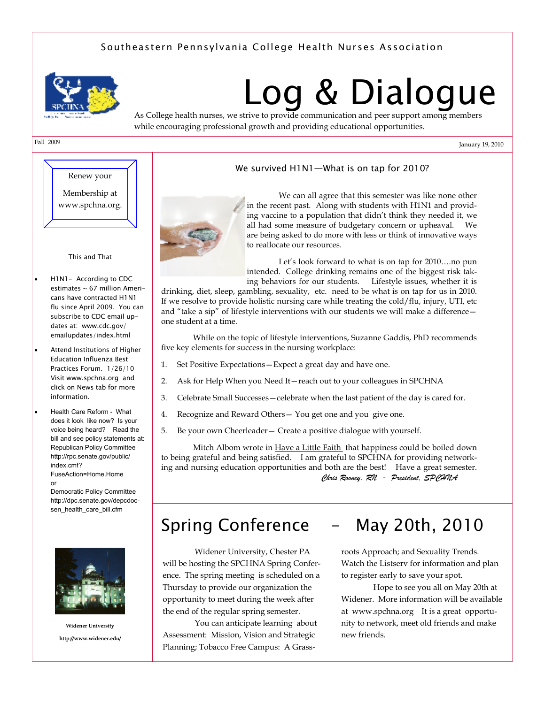## *Southeastern Pennsylvania College Health Nurses Association*



# *Log & Dialogue*

As College health nurses, we strive to provide communication and peer support among members while encouraging professional growth and providing educational opportunities.

January 19, 2010

# Fall 2009

Renew your Membership at www.spchna.org.

*This and That* 

- *H1N1- According to CDC estimates ~ 67 million Americans have contracted H1N1 flu since April 2009. You can subscribe to CDC email updates at: www.cdc.gov/ emailupdates/index.html*
- *Attend Institutions of Higher Education Influenza Best Practices Forum. 1/26/10 Visit www.spchna.org and click on News tab for more information.*
- Health Care Reform What does it look like now? Is your voice being heard? Read the bill and see policy statements at: Republican Policy Committee http://rpc.senate.gov/public/ index.cmf?

FuseAction=Home.Home or

Democratic Policy Committee http://dpc.senate.gov/depcdocsen\_health\_care\_bill.cfm



**Widener University http://www.widener.edu/** 

### *We survived H1N1—What is on tap for 2010?*



 We can all agree that this semester was like none other in the recent past. Along with students with H1N1 and providing vaccine to a population that didn't think they needed it, we all had some measure of budgetary concern or upheaval. We are being asked to do more with less or think of innovative ways to reallocate our resources.

Let's look forward to what is on tap for 2010....no pun intended. College drinking remains one of the biggest risk taking behaviors for our students. Lifestyle issues, whether it is

drinking, diet, sleep, gambling, sexuality, etc. need to be what is on tap for us in 2010. If we resolve to provide holistic nursing care while treating the cold/flu, injury, UTI, etc and "take a sip" of lifestyle interventions with our students we will make a difference one student at a time.

 While on the topic of lifestyle interventions, Suzanne Gaddis, PhD recommends five key elements for success in the nursing workplace:

- 1. Set Positive Expectations—Expect a great day and have one.
- 2. Ask for Help When you Need It—reach out to your colleagues in SPCHNA
- 3. Celebrate Small Successes—celebrate when the last patient of the day is cared for.
- 4. Recognize and Reward Others— You get one and you give one.
- 5. Be your own Cheerleader— Create a positive dialogue with yourself.

Mitch Albom wrote in Have a Little Faith that happiness could be boiled down to being grateful and being satisfied. I am grateful to SPCHNA for providing networking and nursing education opportunities and both are the best! Have a great semester. *Chris Rooney, RN - President, SPCHNA* 

# *Spring Conference - May 20th, 2010*

 Widener University, Chester PA will be hosting the SPCHNA Spring Conference. The spring meeting is scheduled on a Thursday to provide our organization the opportunity to meet during the week after the end of the regular spring semester.

 You can anticipate learning about Assessment: Mission, Vision and Strategic Planning; Tobacco Free Campus: A Grass-

roots Approach; and Sexuality Trends. Watch the Listserv for information and plan to register early to save your spot.

 Hope to see you all on May 20th at Widener. More information will be available at www.spchna.org It is a great opportunity to network, meet old friends and make new friends.